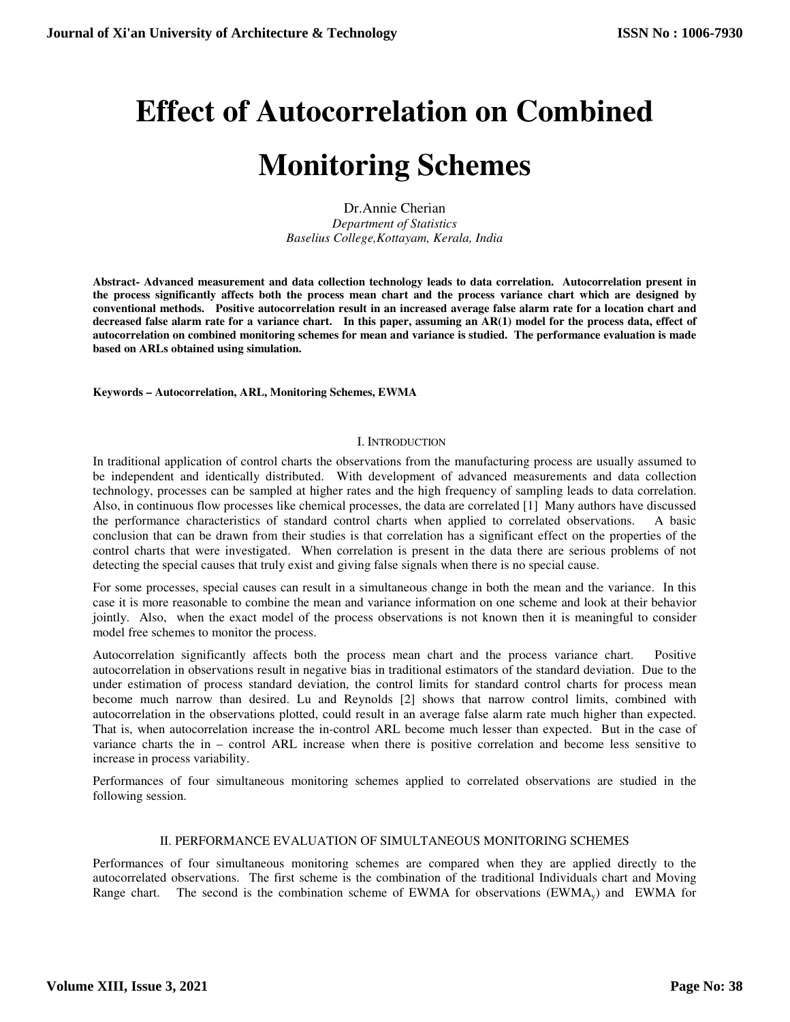# **Effect of Autocorrelation on Combined**

## **Monitoring Schemes**

Dr.Annie Cherian *Department of Statistics Baselius College,Kottayam, Kerala, India* 

**Abstract- Advanced measurement and data collection technology leads to data correlation. Autocorrelation present in the process significantly affects both the process mean chart and the process variance chart which are designed by conventional methods. Positive autocorrelation result in an increased average false alarm rate for a location chart and decreased false alarm rate for a variance chart. In this paper, assuming an AR(1) model for the process data, effect of autocorrelation on combined monitoring schemes for mean and variance is studied. The performance evaluation is made based on ARLs obtained using simulation.** 

### **Keywords – Autocorrelation, ARL, Monitoring Schemes, EWMA**

## I. INTRODUCTION

In traditional application of control charts the observations from the manufacturing process are usually assumed to be independent and identically distributed. With development of advanced measurements and data collection technology, processes can be sampled at higher rates and the high frequency of sampling leads to data correlation. Also, in continuous flow processes like chemical processes, the data are correlated [1] Many authors have discussed the performance characteristics of standard control charts when applied to correlated observations. A basic conclusion that can be drawn from their studies is that correlation has a significant effect on the properties of the control charts that were investigated. When correlation is present in the data there are serious problems of not detecting the special causes that truly exist and giving false signals when there is no special cause.

For some processes, special causes can result in a simultaneous change in both the mean and the variance. In this case it is more reasonable to combine the mean and variance information on one scheme and look at their behavior jointly. Also, when the exact model of the process observations is not known then it is meaningful to consider model free schemes to monitor the process.

Autocorrelation significantly affects both the process mean chart and the process variance chart. Positive autocorrelation in observations result in negative bias in traditional estimators of the standard deviation. Due to the under estimation of process standard deviation, the control limits for standard control charts for process mean become much narrow than desired. Lu and Reynolds [2] shows that narrow control limits, combined with autocorrelation in the observations plotted, could result in an average false alarm rate much higher than expected. That is, when autocorrelation increase the in-control ARL become much lesser than expected. But in the case of variance charts the in – control ARL increase when there is positive correlation and become less sensitive to increase in process variability.

Performances of four simultaneous monitoring schemes applied to correlated observations are studied in the following session.

## II. PERFORMANCE EVALUATION OF SIMULTANEOUS MONITORING SCHEMES

Performances of four simultaneous monitoring schemes are compared when they are applied directly to the autocorrelated observations. The first scheme is the combination of the traditional Individuals chart and Moving Range chart. The second is the combination scheme of EWMA for observations  $(EWMA<sub>v</sub>)$  and EWMA for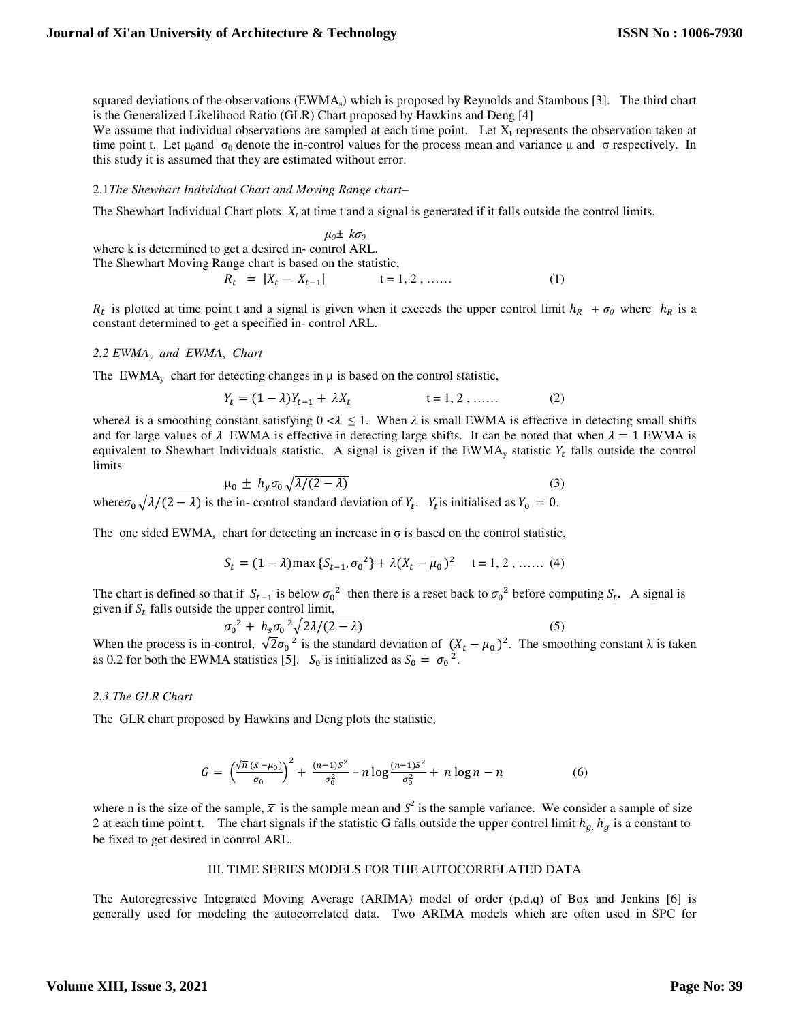squared deviations of the observations  $(EWMA<sub>s</sub>)$  which is proposed by Reynolds and Stambous [3]. The third chart is the Generalized Likelihood Ratio (GLR) Chart proposed by Hawkins and Deng [4]

We assume that individual observations are sampled at each time point. Let  $X_t$  represents the observation taken at time point t. Let  $\mu_0$ and σ<sub>0</sub> denote the in-control values for the process mean and variance μ and σ respectively. In this study it is assumed that they are estimated without error.

#### 2.1*The Shewhart Individual Chart and Moving Range chart*–

The Shewhart Individual Chart plots  $X_t$  at time t and a signal is generated if it falls outside the control limits,

 $μ<sub>0</sub>±  $kσ<sub>0</sub>$$ where k is determined to get a desired in- control ARL. The Shewhart Moving Range chart is based on the statistic,  $R_t = |X_t - X_t|$  $t = 1, 2, \dots$  (1)

 $R_t$  is plotted at time point t and a signal is given when it exceeds the upper control limit  $h_R + \sigma_0$  where  $h_R$  is a constant determined to get a specified in- control ARL.

#### *2.2 EWMA<sup>y</sup> and EWMA<sup>s</sup> Chart*

The EWMA<sub>y</sub> chart for detecting changes in  $\mu$  is based on the control statistic,

$$
Y_t = (1 - \lambda)Y_{t-1} + \lambda X_t \qquad \qquad t = 1, 2, \dots \tag{2}
$$

where  $\lambda$  is a smoothing constant satisfying  $0 < \lambda \leq 1$ . When  $\lambda$  is small EWMA is effective in detecting small shifts and for large values of  $\lambda$  EWMA is effective in detecting large shifts. It can be noted that when  $\lambda = 1$  EWMA is equivalent to Shewhart Individuals statistic. A signal is given if the EWMA<sub>y</sub> statistic  $Y_t$  falls outside the control limits

$$
\mu_0 \pm h_y \sigma_0 \sqrt{\lambda/(2-\lambda)} \tag{3}
$$

where  $\sigma_0 \sqrt{\lambda/(2 - \lambda)}$  is the in-control standard deviation of  $Y_t$ .  $Y_t$  is initialised as  $Y_0 = 0$ .

The one sided EWMA<sub>s</sub> chart for detecting an increase in  $\sigma$  is based on the control statistic,

$$
S_t = (1 - \lambda) \max \{ S_{t-1}, \sigma_0^2 \} + \lambda (X_t - \mu_0)^2 \quad t = 1, 2, \dots \dots (4)
$$

The chart is defined so that if  $S_{t-1}$  is below  $\sigma_0^2$  then there is a reset back to  $\sigma_0^2$  before computing  $S_t$ . A signal is given if  $S_t$  falls outside the upper control limit,

$$
\sigma_0^2 + h_s \sigma_0^2 \sqrt{2\lambda/(2-\lambda)} \tag{5}
$$

When the process is in-control,  $\sqrt{2}\sigma_0^2$  is the standard deviation of  $(X_t - \mu_0)^2$ . The smoothing constant  $\lambda$  is taken as 0.2 for both the EWMA statistics [5].  $S_0$  is initialized as  $S_0 = \sigma_0^2$ .

#### *2.3 The GLR Chart*

The GLR chart proposed by Hawkins and Deng plots the statistic,

$$
G = \left(\frac{\sqrt{n} \left(\bar{x} - \mu_0\right)}{\sigma_0}\right)^2 + \frac{(n-1)S^2}{\sigma_0^2} - n \log \frac{(n-1)S^2}{\sigma_0^2} + n \log n - n \tag{6}
$$

where n is the size of the sample,  $\bar{x}$  is the sample mean and  $S^2$  is the sample variance. We consider a sample of size 2 at each time point t. The chart signals if the statistic G falls outside the upper control limit  $h_q$ ,  $h_q$  is a constant to be fixed to get desired in control ARL.

#### III. TIME SERIES MODELS FOR THE AUTOCORRELATED DATA

The Autoregressive Integrated Moving Average (ARIMA) model of order (p,d,q) of Box and Jenkins [6] is generally used for modeling the autocorrelated data. Two ARIMA models which are often used in SPC for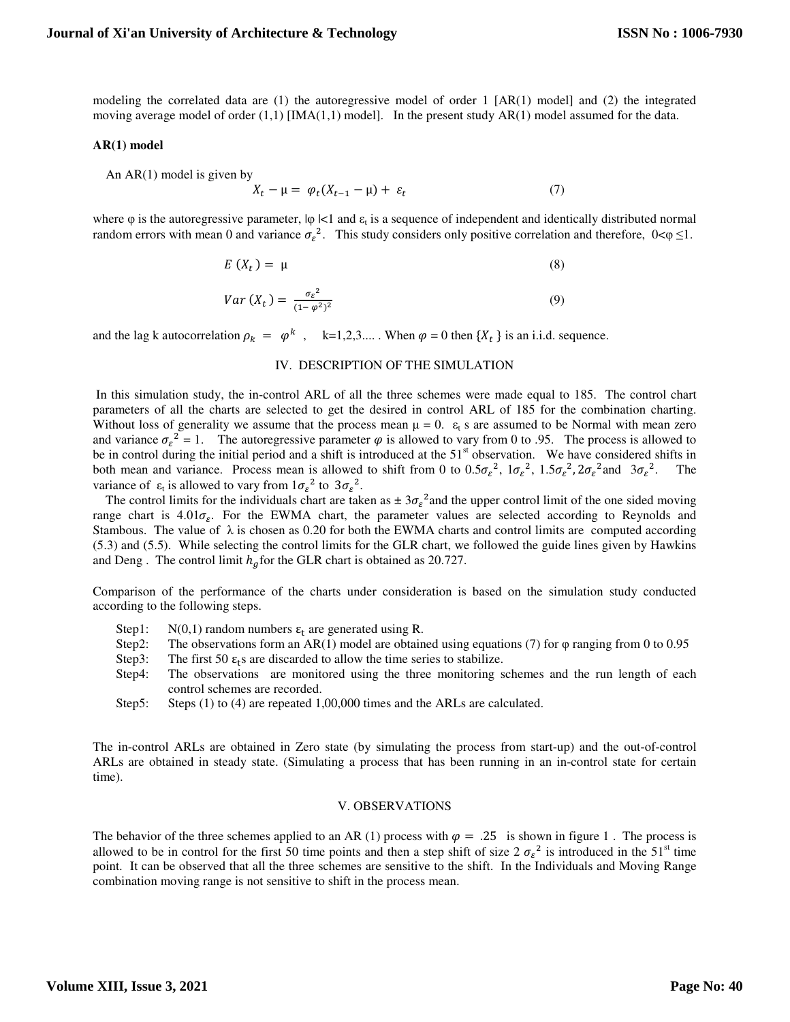modeling the correlated data are (1) the autoregressive model of order 1 [AR(1) model] and (2) the integrated moving average model of order  $(1,1)$  [IMA $(1,1)$  model]. In the present study AR $(1)$  model assumed for the data.

#### **AR(1) model**

 An AR(1) model is given by  $X_t - \mu = \varphi_t (X_{t-1} - \mu) + \varepsilon_t$  $(7)$ 

where  $\varphi$  is the autoregressive parameter,  $|\varphi| < 1$  and  $\varepsilon_t$  is a sequence of independent and identically distributed normal random errors with mean 0 and variance  $\sigma_{\varepsilon}^2$ . This study considers only positive correlation and therefore,  $0<\varphi \leq 1$ .

$$
E\left(X_t\right) = \mu\tag{8}
$$

$$
Var(X_t) = \frac{\sigma_{\varepsilon}^2}{(1 - \varphi^2)^2} \tag{9}
$$

and the lag k autocorrelation  $\rho_k = \varphi^k$ ,  $k=1,2,3,...$  When  $\varphi = 0$  then  $\{X_t\}$  is an i.i.d. sequence.

#### IV. DESCRIPTION OF THE SIMULATION

 In this simulation study, the in-control ARL of all the three schemes were made equal to 185. The control chart parameters of all the charts are selected to get the desired in control ARL of 185 for the combination charting. Without loss of generality we assume that the process mean  $\mu = 0$ .  $\varepsilon_t$  s are assumed to be Normal with mean zero and variance  $\sigma_{\varepsilon}^2 = 1$ . The autoregressive parameter  $\varphi$  is allowed to vary from 0 to .95. The process is allowed to be in control during the initial period and a shift is introduced at the  $51<sup>st</sup>$  observation. We have considered shifts in both mean and variance. Process mean is allowed to shift from 0 to  $0.5\sigma_{\epsilon}^2$ ,  $1\sigma_{\epsilon}^2$ ,  $1.5\sigma_{\epsilon}^2$ ,  $2\sigma_{\epsilon}^2$  and  $3\sigma_{\epsilon}^2$ . The variance of  $\varepsilon_t$  is allowed to vary from  $1\sigma_{\varepsilon}^2$  to  $3\sigma_{\varepsilon}^2$ .

The control limits for the individuals chart are taken as  $\pm 3\sigma_{\epsilon}^2$  and the upper control limit of the one sided moving range chart is  $4.01\sigma_{\epsilon}$ . For the EWMA chart, the parameter values are selected according to Reynolds and Stambous. The value of  $\lambda$  is chosen as 0.20 for both the EWMA charts and control limits are computed according (5.3) and (5.5). While selecting the control limits for the GLR chart, we followed the guide lines given by Hawkins and Deng. The control limit  $h_q$  for the GLR chart is obtained as 20.727.

Comparison of the performance of the charts under consideration is based on the simulation study conducted according to the following steps.

- Step1:  $N(0,1)$  random numbers  $\varepsilon_t$  are generated using R.
- Step2: The observations form an AR(1) model are obtained using equations (7) for  $\varphi$  ranging from 0 to 0.95
- Step3: The first 50  $\varepsilon_{t}$ s are discarded to allow the time series to stabilize.
- Step4: The observations are monitored using the three monitoring schemes and the run length of each control schemes are recorded.
- Step5: Steps (1) to (4) are repeated 1,00,000 times and the ARLs are calculated.

The in-control ARLs are obtained in Zero state (by simulating the process from start-up) and the out-of-control ARLs are obtained in steady state. (Simulating a process that has been running in an in-control state for certain time).

#### V. OBSERVATIONS

The behavior of the three schemes applied to an AR (1) process with  $\varphi = 0.25$  is shown in figure 1. The process is allowed to be in control for the first 50 time points and then a step shift of size  $2 \sigma_{\epsilon}^2$  is introduced in the 51<sup>st</sup> time point. It can be observed that all the three schemes are sensitive to the shift. In the Individuals and Moving Range combination moving range is not sensitive to shift in the process mean.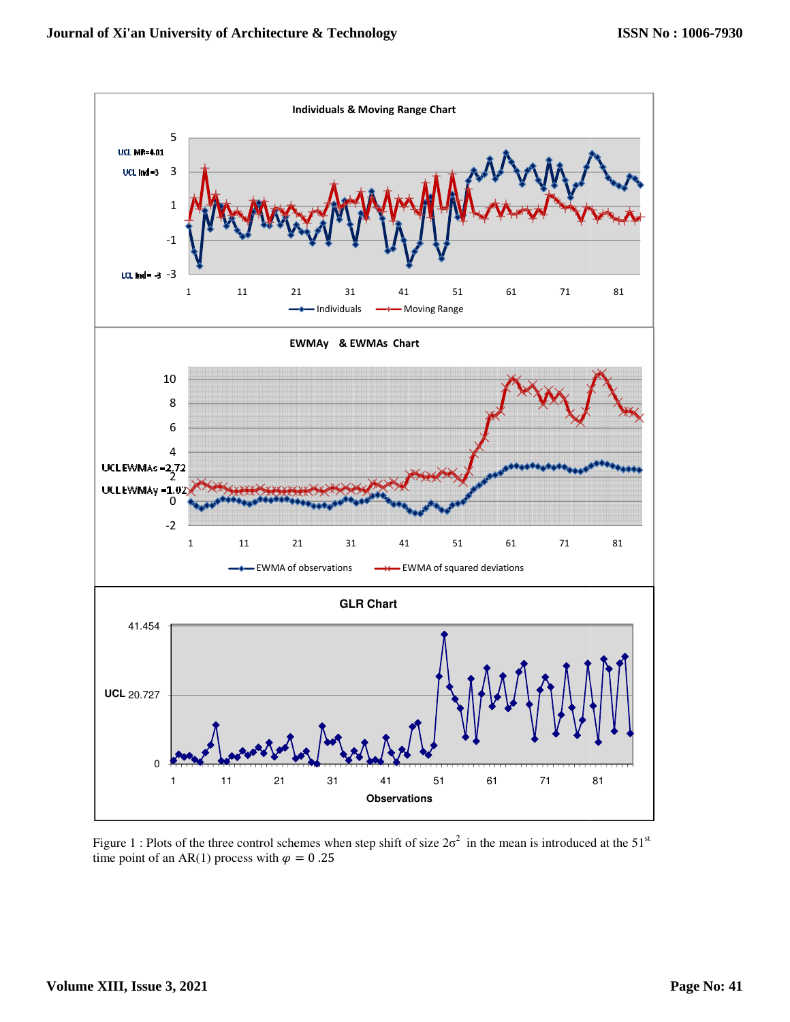

Figure 1 : Plots of the three control schemes when step shift of size  $2\sigma^2$  in the mean is introduced at the 51<sup>st</sup> time point of an AR(1) process with  $\varphi = 0.25$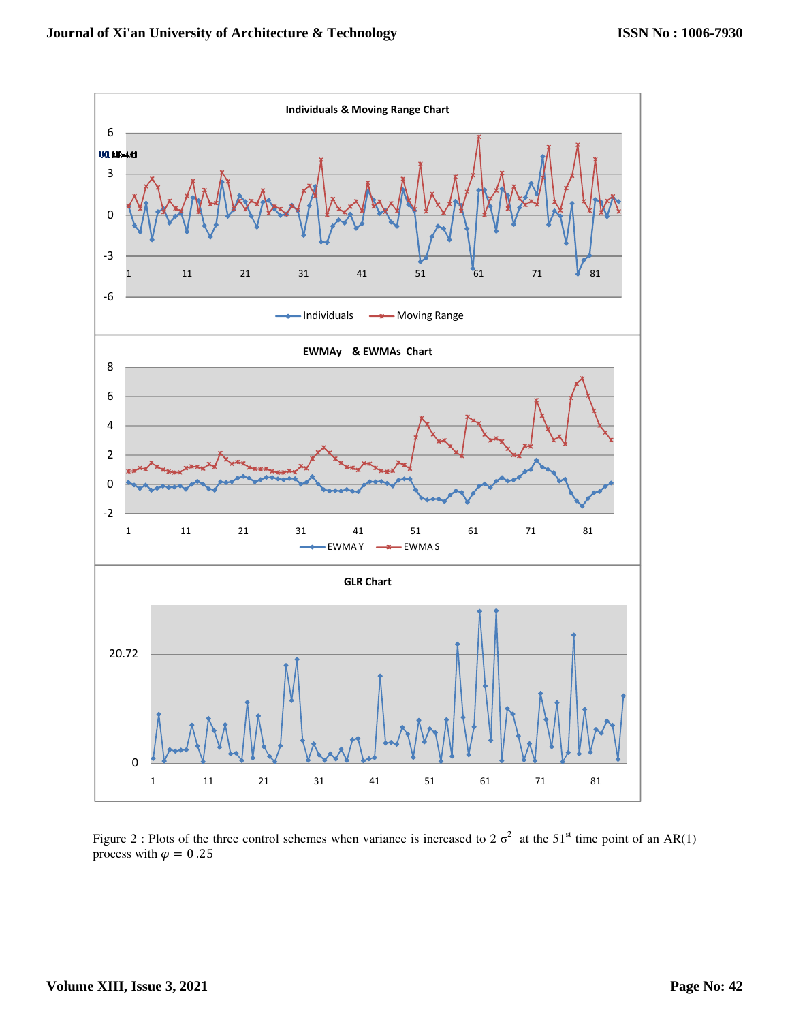

Figure 2 : Plots of the three control schemes when variance is increased to 2  $\sigma^2$  at the 51<sup>st</sup> time point of an AR(1) process with  $\varphi = 0.25$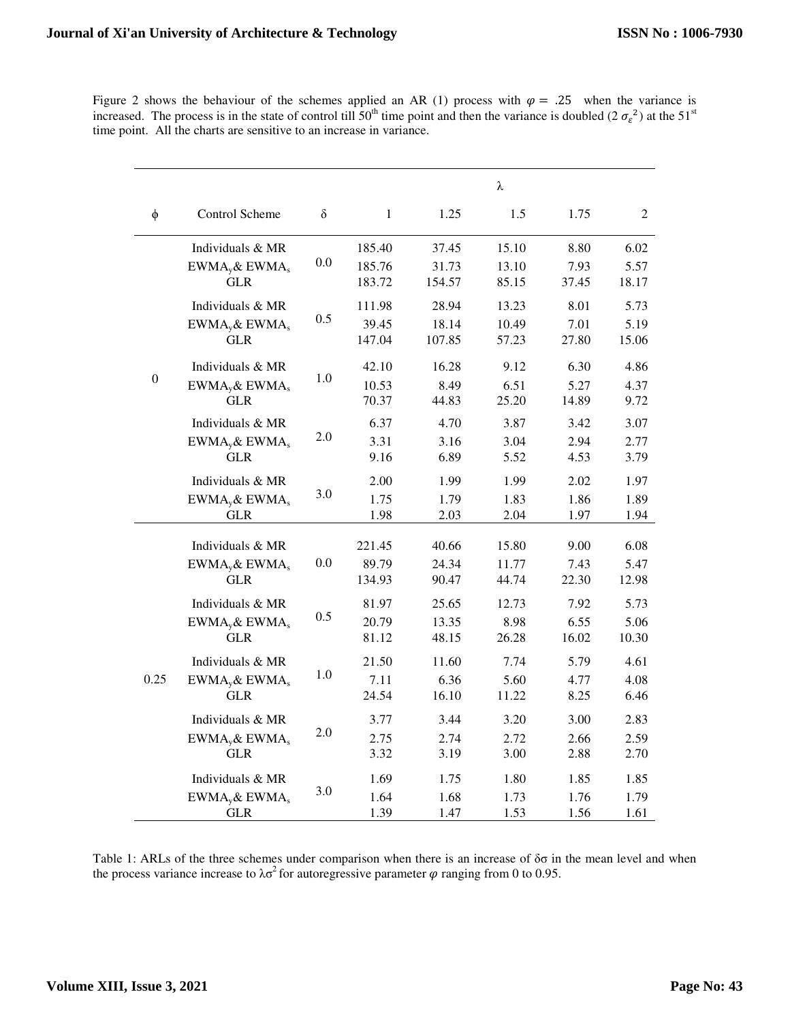Figure 2 shows the behaviour of the schemes applied an AR (1) process with  $\varphi = .25$  when the variance is increased. The process is in the state of control till  $50^{th}$  time point and then the variance is doubled (2 $\sigma_{\epsilon}^2$ ) at the  $51^{st}$ time point. All the charts are sensitive to an increase in variance.

|                  |                                                               |          | λ                          |                          |                         |                       |                       |  |  |
|------------------|---------------------------------------------------------------|----------|----------------------------|--------------------------|-------------------------|-----------------------|-----------------------|--|--|
| $\phi$           | Control Scheme                                                | $\delta$ | $\mathbf{1}$               | 1.25                     | 1.5                     | 1.75                  | 2                     |  |  |
| $\boldsymbol{0}$ | Individuals & MR<br>$EWMAv$ & EWMA <sub>s</sub><br><b>GLR</b> | 0.0      | 185.40<br>185.76<br>183.72 | 37.45<br>31.73<br>154.57 | 15.10<br>13.10<br>85.15 | 8.80<br>7.93<br>37.45 | 6.02<br>5.57<br>18.17 |  |  |
|                  | Individuals & MR<br>$EWMAv$ & EWMA <sub>s</sub><br><b>GLR</b> | 0.5      | 111.98<br>39.45<br>147.04  | 28.94<br>18.14<br>107.85 | 13.23<br>10.49<br>57.23 | 8.01<br>7.01<br>27.80 | 5.73<br>5.19<br>15.06 |  |  |
|                  | Individuals & MR<br>$EWMAv$ & EWMA <sub>s</sub><br><b>GLR</b> | 1.0      | 42.10<br>10.53<br>70.37    | 16.28<br>8.49<br>44.83   | 9.12<br>6.51<br>25.20   | 6.30<br>5.27<br>14.89 | 4.86<br>4.37<br>9.72  |  |  |
|                  | Individuals & MR<br>$EWMA_y&EWMA_s$<br><b>GLR</b>             | 2.0      | 6.37<br>3.31<br>9.16       | 4.70<br>3.16<br>6.89     | 3.87<br>3.04<br>5.52    | 3.42<br>2.94<br>4.53  | 3.07<br>2.77<br>3.79  |  |  |
|                  | Individuals & MR<br>$EWMAv$ & EWMA <sub>s</sub><br>GLR        | 3.0      | 2.00<br>1.75<br>1.98       | 1.99<br>1.79<br>2.03     | 1.99<br>1.83<br>2.04    | 2.02<br>1.86<br>1.97  | 1.97<br>1.89<br>1.94  |  |  |
| 0.25             | Individuals & MR<br>$EWMAv$ & EWMA <sub>s</sub><br><b>GLR</b> | 0.0      | 221.45<br>89.79<br>134.93  | 40.66<br>24.34<br>90.47  | 15.80<br>11.77<br>44.74 | 9.00<br>7.43<br>22.30 | 6.08<br>5.47<br>12.98 |  |  |
|                  | Individuals & MR<br>$EWMAv$ & EWMA <sub>s</sub><br><b>GLR</b> | 0.5      | 81.97<br>20.79<br>81.12    | 25.65<br>13.35<br>48.15  | 12.73<br>8.98<br>26.28  | 7.92<br>6.55<br>16.02 | 5.73<br>5.06<br>10.30 |  |  |
|                  | Individuals & MR<br>$EWMAv$ & EWMA <sub>s</sub><br><b>GLR</b> | $1.0\,$  | 21.50<br>7.11<br>24.54     | 11.60<br>6.36<br>16.10   | 7.74<br>5.60<br>11.22   | 5.79<br>4.77<br>8.25  | 4.61<br>4.08<br>6.46  |  |  |
|                  | Individuals & MR<br>$EWMAv$ & EWMA <sub>s</sub><br><b>GLR</b> | 2.0      | 3.77<br>2.75<br>3.32       | 3.44<br>2.74<br>3.19     | 3.20<br>2.72<br>3.00    | 3.00<br>2.66<br>2.88  | 2.83<br>2.59<br>2.70  |  |  |
|                  | Individuals & MR<br>$EWMAv$ & EWMA <sub>s</sub><br><b>GLR</b> | 3.0      | 1.69<br>1.64<br>1.39       | 1.75<br>1.68<br>1.47     | 1.80<br>1.73<br>1.53    | 1.85<br>1.76<br>1.56  | 1.85<br>1.79<br>1.61  |  |  |

Table 1: ARLs of the three schemes under comparison when there is an increase of δσ in the mean level and when the process variance increase to  $\lambda \sigma^2$  for autoregressive parameter  $\varphi$  ranging from 0 to 0.95.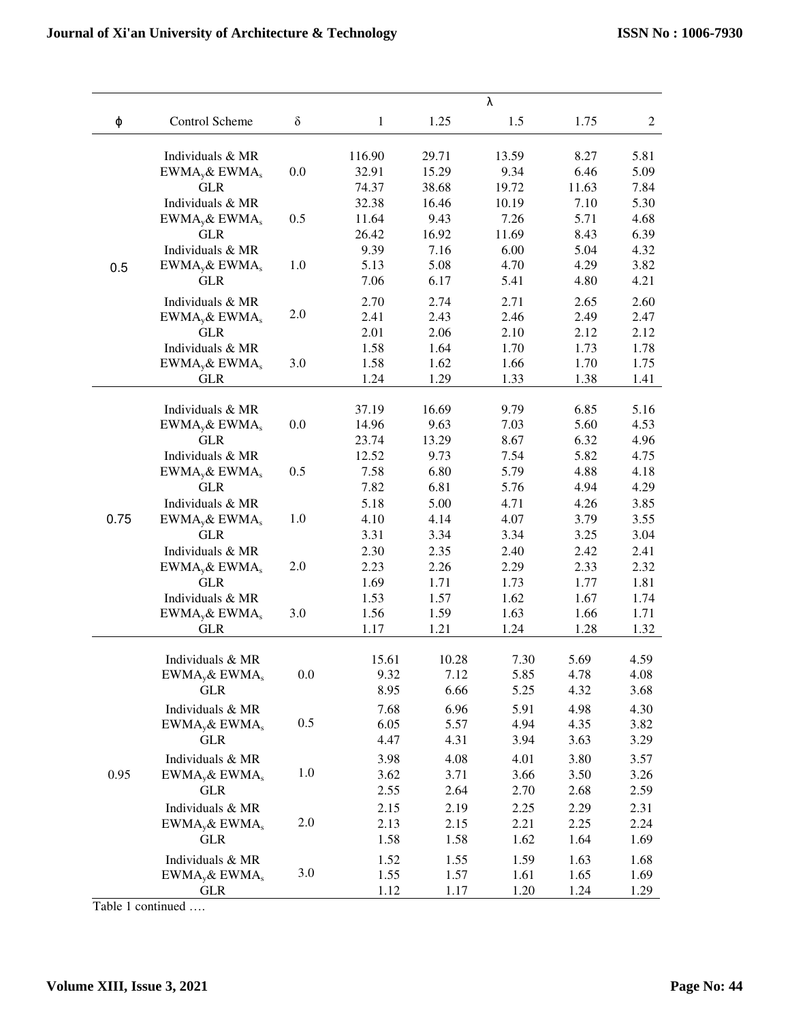|      |                             |          | λ      |       |       |       |                |  |  |
|------|-----------------------------|----------|--------|-------|-------|-------|----------------|--|--|
| φ    | Control Scheme              | $\delta$ | 1      | 1.25  | 1.5   | 1.75  | $\overline{c}$ |  |  |
|      | Individuals & MR            |          | 116.90 | 29.71 | 13.59 | 8.27  | 5.81           |  |  |
|      | $EWMAv$ & EWMA <sub>s</sub> | 0.0      | 32.91  | 15.29 | 9.34  | 6.46  | 5.09           |  |  |
| 0.5  | <b>GLR</b>                  |          | 74.37  | 38.68 | 19.72 | 11.63 | 7.84           |  |  |
|      | Individuals & MR            |          | 32.38  | 16.46 | 10.19 | 7.10  | 5.30           |  |  |
|      | $EWMA_y\&EWMA_s$            | 0.5      | 11.64  | 9.43  | 7.26  | 5.71  | 4.68           |  |  |
|      | <b>GLR</b>                  |          | 26.42  | 16.92 | 11.69 | 8.43  | 6.39           |  |  |
|      | Individuals & MR            |          | 9.39   | 7.16  | 6.00  | 5.04  | 4.32           |  |  |
|      | $EWMAv$ & EWMA <sub>s</sub> | 1.0      | 5.13   | 5.08  | 4.70  | 4.29  | 3.82           |  |  |
|      | <b>GLR</b>                  |          | 7.06   | 6.17  | 5.41  | 4.80  | 4.21           |  |  |
|      | Individuals & MR            |          | 2.70   | 2.74  | 2.71  | 2.65  | 2.60           |  |  |
|      | $EWMAv$ & EWMA <sub>s</sub> | 2.0      | 2.41   | 2.43  | 2.46  | 2.49  | 2.47           |  |  |
|      | <b>GLR</b>                  |          | 2.01   | 2.06  | 2.10  | 2.12  | 2.12           |  |  |
|      | Individuals & MR            |          | 1.58   | 1.64  | 1.70  | 1.73  | 1.78           |  |  |
|      | $EWMAv$ & EWMA <sub>s</sub> | 3.0      | 1.58   | 1.62  | 1.66  | 1.70  | 1.75           |  |  |
|      | <b>GLR</b>                  |          | 1.24   | 1.29  | 1.33  | 1.38  | 1.41           |  |  |
|      | Individuals & MR            |          | 37.19  | 16.69 | 9.79  | 6.85  | 5.16           |  |  |
|      | $EWMAv$ & EWMA <sub>s</sub> | 0.0      | 14.96  | 9.63  | 7.03  | 5.60  | 4.53           |  |  |
|      | <b>GLR</b>                  |          | 23.74  | 13.29 | 8.67  | 6.32  | 4.96           |  |  |
|      | Individuals & MR            |          | 12.52  | 9.73  | 7.54  | 5.82  | 4.75           |  |  |
|      | $EWMAv$ & EWMA <sub>s</sub> | 0.5      | 7.58   | 6.80  | 5.79  | 4.88  | 4.18           |  |  |
|      | <b>GLR</b>                  |          | 7.82   | 6.81  | 5.76  | 4.94  | 4.29           |  |  |
|      | Individuals & MR            |          | 5.18   | 5.00  | 4.71  | 4.26  | 3.85           |  |  |
| 0.75 | $EWMA_y\& EWMA_s$           | 1.0      | 4.10   | 4.14  | 4.07  | 3.79  | 3.55           |  |  |
|      | <b>GLR</b>                  |          | 3.31   | 3.34  | 3.34  | 3.25  | 3.04           |  |  |
|      | Individuals & MR            |          | 2.30   | 2.35  | 2.40  | 2.42  | 2.41           |  |  |
|      | $EWMAv$ & EWMA <sub>s</sub> | 2.0      | 2.23   | 2.26  | 2.29  | 2.33  | 2.32           |  |  |
|      | <b>GLR</b>                  |          | 1.69   | 1.71  | 1.73  | 1.77  | 1.81           |  |  |
|      | Individuals & MR            |          | 1.53   | 1.57  | 1.62  | 1.67  | 1.74           |  |  |
|      | $EWMAv$ & EWMA <sub>s</sub> | 3.0      | 1.56   | 1.59  | 1.63  | 1.66  | 1.71           |  |  |
|      | <b>GLR</b>                  |          | 1.17   | 1.21  | 1.24  | 1.28  | 1.32           |  |  |
| 0.95 |                             |          |        |       |       |       |                |  |  |
|      | Individuals & MR            |          | 15.61  | 10.28 | 7.30  | 5.69  | 4.59           |  |  |
|      | $EWMA_y&EWMA_s$             | 0.0      | 9.32   | 7.12  | 5.85  | 4.78  | 4.08           |  |  |
|      | <b>GLR</b>                  |          | 8.95   | 6.66  | 5.25  | 4.32  | 3.68           |  |  |
|      | Individuals & MR            |          | 7.68   | 6.96  | 5.91  | 4.98  | 4.30           |  |  |
|      | $EWMAv$ & EWMA <sub>s</sub> | 0.5      | 6.05   | 5.57  | 4.94  | 4.35  | 3.82           |  |  |
|      | <b>GLR</b>                  |          | 4.47   | 4.31  | 3.94  | 3.63  | 3.29           |  |  |
|      | Individuals & MR            |          | 3.98   | 4.08  | 4.01  | 3.80  | 3.57           |  |  |
|      | $EWMAv$ & EWMA <sub>s</sub> | 1.0      | 3.62   | 3.71  | 3.66  | 3.50  | 3.26           |  |  |
|      | <b>GLR</b>                  |          | 2.55   | 2.64  | 2.70  | 2.68  | 2.59           |  |  |
|      | Individuals & MR            |          | 2.15   | 2.19  | 2.25  | 2.29  | 2.31           |  |  |
|      | $EWMAv$ & EWMA <sub>s</sub> | 2.0      | 2.13   | 2.15  | 2.21  | 2.25  | 2.24           |  |  |
|      | <b>GLR</b>                  |          | 1.58   | 1.58  | 1.62  | 1.64  | 1.69           |  |  |
|      | Individuals & MR            |          | 1.52   | 1.55  | 1.59  | 1.63  | 1.68           |  |  |
|      | $EWMAv$ & EWMA <sub>s</sub> | 3.0      | 1.55   | 1.57  | 1.61  | 1.65  | 1.69           |  |  |
|      | <b>GLR</b>                  |          | 1.12   | 1.17  | 1.20  | 1.24  | 1.29           |  |  |

Table 1 continued ….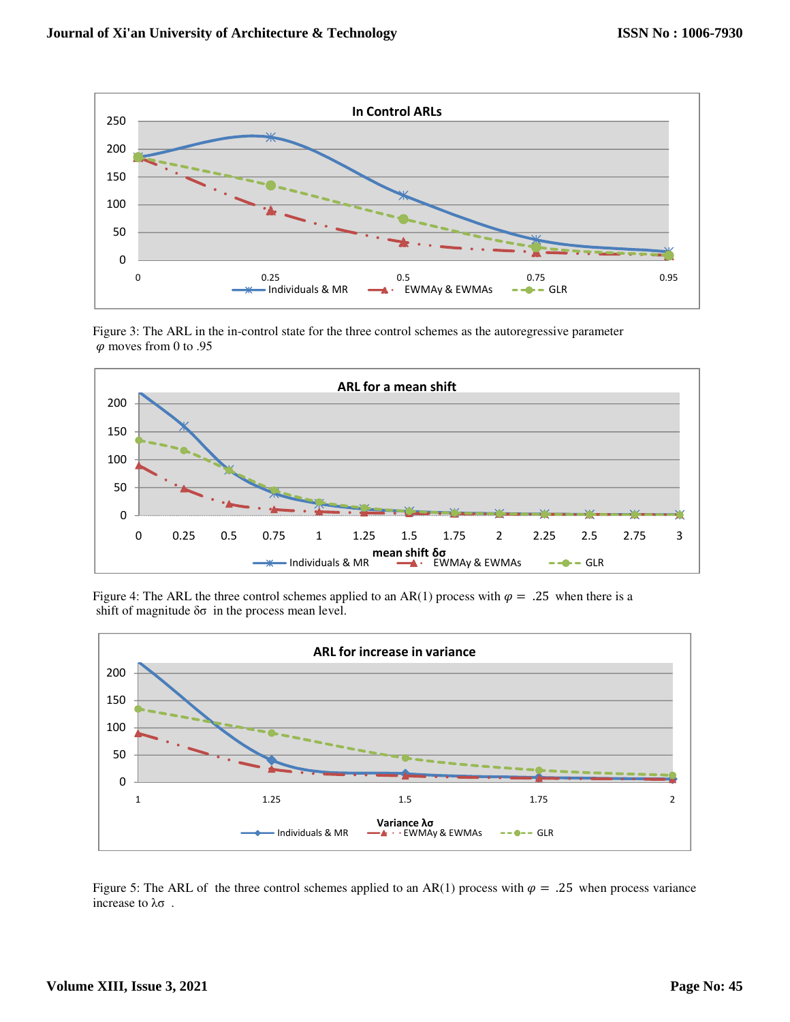

Figure 3: The ARL in the in-control state for the three control schemes as the autoregressive parameter  $\varphi$  moves from 0 to .95



Figure 4: The ARL the three control schemes applied to an AR(1) process with  $\varphi = .25$  when there is a shift of magnitude  $\delta\sigma$  in the process mean level.



Figure 5: The ARL of the three control schemes applied to an AR(1) process with  $\varphi = .25$  when process variance increase to λσ .